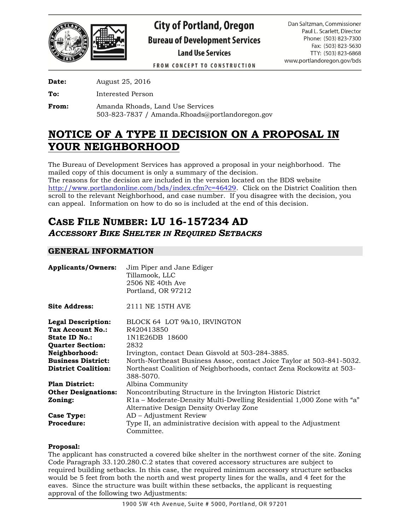

# **City of Portland, Oregon Bureau of Development Services Land Use Services**

Dan Saltzman, Commissioner Paul L. Scarlett, Director Phone: (503) 823-7300 Fax: (503) 823-5630 TTY: (503) 823-6868 www.portlandoregon.gov/bds

**FROM CONCEPT TO CONSTRUCTION** 

**Date:** August 25, 2016

**To:** Interested Person

**From:** Amanda Rhoads, Land Use Services 503-823-7837 / Amanda.Rhoads@portlandoregon.gov

## **NOTICE OF A TYPE II DECISION ON A PROPOSAL IN YOUR NEIGHBORHOOD**

The Bureau of Development Services has approved a proposal in your neighborhood. The mailed copy of this document is only a summary of the decision.

The reasons for the decision are included in the version located on the BDS website [http://www.portlandonline.com/bds/index.cfm?c=46429.](http://www.portlandonline.com/bds/index.cfm?c=46429) Click on the District Coalition then scroll to the relevant Neighborhood, and case number. If you disagree with the decision, you can appeal. Information on how to do so is included at the end of this decision.

## **CASE FILE NUMBER: LU 16-157234 AD** *ACCESSORY BIKE SHELTER IN REQUIRED SETBACKS*

## **GENERAL INFORMATION**

| <b>Applicants/Owners:</b>  | Jim Piper and Jane Ediger<br>Tillamook, LLC<br>2506 NE 40th Ave<br>Portland, OR 97212 |
|----------------------------|---------------------------------------------------------------------------------------|
| <b>Site Address:</b>       | 2111 NE 15TH AVE                                                                      |
| <b>Legal Description:</b>  | BLOCK 64 LOT 9&10, IRVINGTON                                                          |
| Tax Account No.:           | R420413850                                                                            |
| State ID No.:              | 1N1E26DB 18600                                                                        |
| <b>Quarter Section:</b>    | 2832                                                                                  |
| Neighborhood:              | Irvington, contact Dean Gisvold at 503-284-3885.                                      |
| <b>Business District:</b>  | North-Northeast Business Assoc, contact Joice Taylor at 503-841-5032.                 |
| <b>District Coalition:</b> | Northeast Coalition of Neighborhoods, contact Zena Rockowitz at 503-<br>388-5070.     |
| <b>Plan District:</b>      | Albina Community                                                                      |
| <b>Other Designations:</b> | Noncontributing Structure in the Irvington Historic District                          |
| Zoning:                    | R1a - Moderate-Density Multi-Dwelling Residential 1,000 Zone with "a"                 |
|                            | Alternative Design Density Overlay Zone                                               |
| Case Type:                 | AD – Adjustment Review                                                                |
| <b>Procedure:</b>          | Type II, an administrative decision with appeal to the Adjustment<br>Committee.       |

#### **Proposal:**

The applicant has constructed a covered bike shelter in the northwest corner of the site. Zoning Code Paragraph 33.120.280.C.2 states that covered accessory structures are subject to required building setbacks. In this case, the required minimum accessory structure setbacks would be 5 feet from both the north and west property lines for the walls, and 4 feet for the eaves. Since the structure was built within these setbacks, the applicant is requesting approval of the following two Adjustments: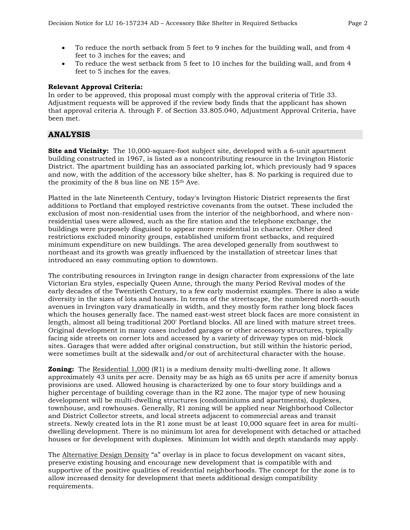- To reduce the north setback from 5 feet to 9 inches for the building wall, and from 4 feet to 3 inches for the eaves; and
- To reduce the west setback from 5 feet to 10 inches for the building wall, and from 4 feet to 5 inches for the eaves.

#### **Relevant Approval Criteria:**

In order to be approved, this proposal must comply with the approval criteria of Title 33. Adjustment requests will be approved if the review body finds that the applicant has shown that approval criteria A. through F. of Section 33.805.040, Adjustment Approval Criteria, have been met.

#### **ANALYSIS**

**Site and Vicinity:** The 10,000-square-foot subject site, developed with a 6-unit apartment building constructed in 1967, is listed as a noncontributing resource in the Irvington Historic District. The apartment building has an associated parking lot, which previously had 9 spaces and now, with the addition of the accessory bike shelter, has 8. No parking is required due to the proximity of the 8 bus line on NE 15th Ave.

Platted in the late Nineteenth Century, today's Irvington Historic District represents the first additions to Portland that employed restrictive covenants from the outset. These included the exclusion of most non-residential uses from the interior of the neighborhood, and where nonresidential uses were allowed, such as the fire station and the telephone exchange, the buildings were purposely disguised to appear more residential in character. Other deed restrictions excluded minority groups, established uniform front setbacks, and required minimum expenditure on new buildings. The area developed generally from southwest to northeast and its growth was greatly influenced by the installation of streetcar lines that introduced an easy commuting option to downtown.

The contributing resources in Irvington range in design character from expressions of the late Victorian Era styles, especially Queen Anne, through the many Period Revival modes of the early decades of the Twentieth Century, to a few early modernist examples. There is also a wide diversity in the sizes of lots and houses. In terms of the streetscape, the numbered north-south avenues in Irvington vary dramatically in width, and they mostly form rather long block faces which the houses generally face. The named east-west street block faces are more consistent in length, almost all being traditional 200' Portland blocks. All are lined with mature street trees. Original development in many cases included garages or other accessory structures, typically facing side streets on corner lots and accessed by a variety of driveway types on mid-block sites. Garages that were added after original construction, but still within the historic period, were sometimes built at the sidewalk and/or out of architectural character with the house.

**Zoning:** The Residential 1,000 (R1) is a medium density multi-dwelling zone. It allows approximately 43 units per acre. Density may be as high as 65 units per acre if amenity bonus provisions are used. Allowed housing is characterized by one to four story buildings and a higher percentage of building coverage than in the R2 zone. The major type of new housing development will be multi-dwelling structures (condominiums and apartments), duplexes, townhouse, and rowhouses. Generally, R1 zoning will be applied near Neighborhood Collector and District Collector streets, and local streets adjacent to commercial areas and transit streets. Newly created lots in the R1 zone must be at least 10,000 square feet in area for multidwelling development. There is no minimum lot area for development with detached or attached houses or for development with duplexes. Minimum lot width and depth standards may apply.

The Alternative Design Density "a" overlay is in place to focus development on vacant sites, preserve existing housing and encourage new development that is compatible with and supportive of the positive qualities of residential neighborhoods. The concept for the zone is to allow increased density for development that meets additional design compatibility requirements.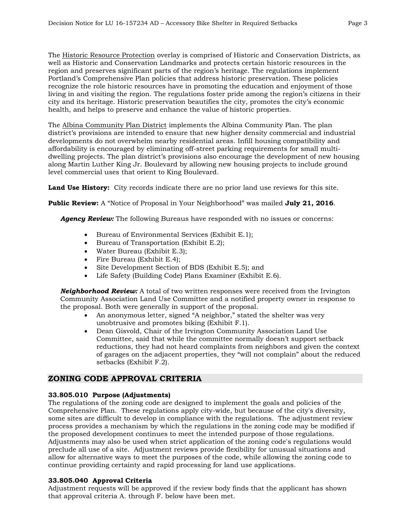The Historic Resource Protection overlay is comprised of Historic and Conservation Districts, as well as Historic and Conservation Landmarks and protects certain historic resources in the region and preserves significant parts of the region's heritage. The regulations implement Portland's Comprehensive Plan policies that address historic preservation. These policies recognize the role historic resources have in promoting the education and enjoyment of those living in and visiting the region. The regulations foster pride among the region's citizens in their city and its heritage. Historic preservation beautifies the city, promotes the city's economic health, and helps to preserve and enhance the value of historic properties.

The Albina Community Plan District implements the Albina Community Plan. The plan district's provisions are intended to ensure that new higher density commercial and industrial developments do not overwhelm nearby residential areas. Infill housing compatibility and affordability is encouraged by eliminating off-street parking requirements for small multidwelling projects. The plan district's provisions also encourage the development of new housing along Martin Luther King Jr. Boulevard by allowing new housing projects to include ground level commercial uses that orient to King Boulevard.

**Land Use History:** City records indicate there are no prior land use reviews for this site.

**Public Review:** A "Notice of Proposal in Your Neighborhood" was mailed **July 21, 2016**.

*Agency Review:* The following Bureaus have responded with no issues or concerns:

- Bureau of Environmental Services (Exhibit E.1);
- Bureau of Transportation (Exhibit E.2);
- Water Bureau (Exhibit E.3);
- Fire Bureau (Exhibit E.4);
- Site Development Section of BDS (Exhibit E.5); and
- Life Safety (Building Code) Plans Examiner (Exhibit E.6).

*Neighborhood Review:* A total of two written responses were received from the Irvington Community Association Land Use Committee and a notified property owner in response to the proposal. Both were generally in support of the proposal.

- An anonymous letter, signed "A neighbor," stated the shelter was very unobtrusive and promotes biking (Exhibit F.1).
- Dean Gisvold, Chair of the Irvington Community Association Land Use Committee, said that while the committee normally doesn't support setback reductions, they had not heard complaints from neighbors and given the context of garages on the adjacent properties, they "will not complain" about the reduced setbacks (Exhibit F.2).

### **ZONING CODE APPROVAL CRITERIA**

#### **33.805.010 Purpose (Adjustments)**

The regulations of the zoning code are designed to implement the goals and policies of the Comprehensive Plan. These regulations apply city-wide, but because of the city's diversity, some sites are difficult to develop in compliance with the regulations. The adjustment review process provides a mechanism by which the regulations in the zoning code may be modified if the proposed development continues to meet the intended purpose of those regulations. Adjustments may also be used when strict application of the zoning code's regulations would preclude all use of a site. Adjustment reviews provide flexibility for unusual situations and allow for alternative ways to meet the purposes of the code, while allowing the zoning code to continue providing certainty and rapid processing for land use applications.

#### **33.805.040 Approval Criteria**

Adjustment requests will be approved if the review body finds that the applicant has shown that approval criteria A. through F. below have been met.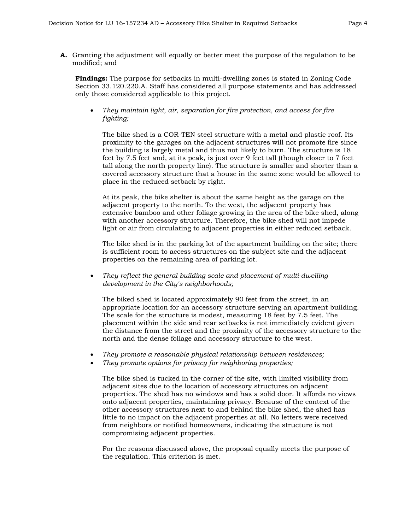**A.** Granting the adjustment will equally or better meet the purpose of the regulation to be modified; and

**Findings:** The purpose for setbacks in multi-dwelling zones is stated in Zoning Code Section 33.120.220.A. Staff has considered all purpose statements and has addressed only those considered applicable to this project.

 *They maintain light, air, separation for fire protection, and access for fire fighting;*

The bike shed is a COR-TEN steel structure with a metal and plastic roof. Its proximity to the garages on the adjacent structures will not promote fire since the building is largely metal and thus not likely to burn. The structure is 18 feet by 7.5 feet and, at its peak, is just over 9 feet tall (though closer to 7 feet tall along the north property line). The structure is smaller and shorter than a covered accessory structure that a house in the same zone would be allowed to place in the reduced setback by right.

At its peak, the bike shelter is about the same height as the garage on the adjacent property to the north. To the west, the adjacent property has extensive bamboo and other foliage growing in the area of the bike shed, along with another accessory structure. Therefore, the bike shed will not impede light or air from circulating to adjacent properties in either reduced setback.

The bike shed is in the parking lot of the apartment building on the site; there is sufficient room to access structures on the subject site and the adjacent properties on the remaining area of parking lot.

 *They reflect the general building scale and placement of multi-dwelling development in the City's neighborhoods;*

The biked shed is located approximately 90 feet from the street, in an appropriate location for an accessory structure serving an apartment building. The scale for the structure is modest, measuring 18 feet by 7.5 feet. The placement within the side and rear setbacks is not immediately evident given the distance from the street and the proximity of the accessory structure to the north and the dense foliage and accessory structure to the west.

- *They promote a reasonable physical relationship between residences;*
- *They promote options for privacy for neighboring properties;*

The bike shed is tucked in the corner of the site, with limited visibility from adjacent sites due to the location of accessory structures on adjacent properties. The shed has no windows and has a solid door. It affords no views onto adjacent properties, maintaining privacy. Because of the context of the other accessory structures next to and behind the bike shed, the shed has little to no impact on the adjacent properties at all. No letters were received from neighbors or notified homeowners, indicating the structure is not compromising adjacent properties.

For the reasons discussed above, the proposal equally meets the purpose of the regulation. This criterion is met.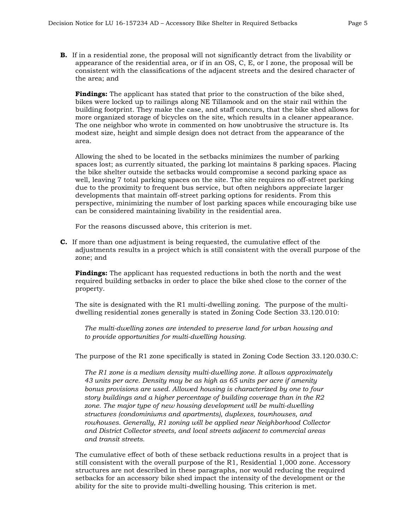**B.** If in a residential zone, the proposal will not significantly detract from the livability or appearance of the residential area, or if in an OS, C, E, or I zone, the proposal will be consistent with the classifications of the adjacent streets and the desired character of the area; and

**Findings:** The applicant has stated that prior to the construction of the bike shed, bikes were locked up to railings along NE Tillamook and on the stair rail within the building footprint. They make the case, and staff concurs, that the bike shed allows for more organized storage of bicycles on the site, which results in a cleaner appearance. The one neighbor who wrote in commented on how unobtrusive the structure is. Its modest size, height and simple design does not detract from the appearance of the area.

Allowing the shed to be located in the setbacks minimizes the number of parking spaces lost; as currently situated, the parking lot maintains 8 parking spaces. Placing the bike shelter outside the setbacks would compromise a second parking space as well, leaving 7 total parking spaces on the site. The site requires no off-street parking due to the proximity to frequent bus service, but often neighbors appreciate larger developments that maintain off-street parking options for residents. From this perspective, minimizing the number of lost parking spaces while encouraging bike use can be considered maintaining livability in the residential area.

For the reasons discussed above, this criterion is met.

**C.** If more than one adjustment is being requested, the cumulative effect of the adjustments results in a project which is still consistent with the overall purpose of the zone; and

**Findings:** The applicant has requested reductions in both the north and the west required building setbacks in order to place the bike shed close to the corner of the property.

The site is designated with the R1 multi-dwelling zoning. The purpose of the multidwelling residential zones generally is stated in Zoning Code Section 33.120.010:

*The multi-dwelling zones are intended to preserve land for urban housing and to provide opportunities for multi-dwelling housing.* 

The purpose of the R1 zone specifically is stated in Zoning Code Section 33.120.030.C:

*The R1 zone is a medium density multi-dwelling zone. It allows approximately 43 units per acre. Density may be as high as 65 units per acre if amenity bonus provisions are used. Allowed housing is characterized by one to four story buildings and a higher percentage of building coverage than in the R2 zone. The major type of new housing development will be multi-dwelling structures (condominiums and apartments), duplexes, townhouses, and rowhouses. Generally, R1 zoning will be applied near Neighborhood Collector and District Collector streets, and local streets adjacent to commercial areas and transit streets.*

The cumulative effect of both of these setback reductions results in a project that is still consistent with the overall purpose of the R1, Residential 1,000 zone. Accessory structures are not described in these paragraphs, nor would reducing the required setbacks for an accessory bike shed impact the intensity of the development or the ability for the site to provide multi-dwelling housing. This criterion is met.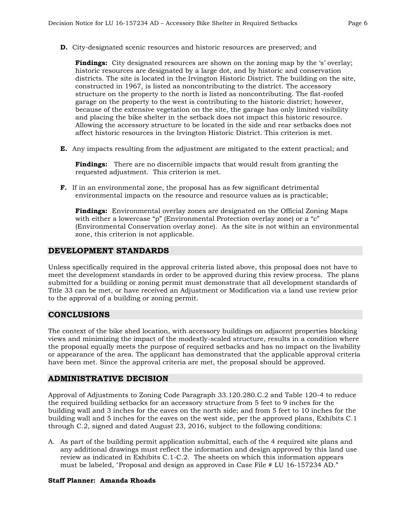**D.** City-designated scenic resources and historic resources are preserved; and

**Findings:** City designated resources are shown on the zoning map by the 's' overlay; historic resources are designated by a large dot, and by historic and conservation districts. The site is located in the Irvington Historic District. The building on the site, constructed in 1967, is listed as noncontributing to the district. The accessory structure on the property to the north is listed as noncontributing. The flat-roofed garage on the property to the west is contributing to the historic district; however, because of the extensive vegetation on the site, the garage has only limited visibility and placing the bike shelter in the setback does not impact this historic resource. Allowing the accessory structure to be located in the side and rear setbacks does not affect historic resources in the Irvington Historic District. This criterion is met.

**E.** Any impacts resulting from the adjustment are mitigated to the extent practical; and

**Findings:** There are no discernible impacts that would result from granting the requested adjustment. This criterion is met.

**F.** If in an environmental zone, the proposal has as few significant detrimental environmental impacts on the resource and resource values as is practicable;

**Findings:** Environmental overlay zones are designated on the Official Zoning Maps with either a lowercase "p" (Environmental Protection overlay zone) or a "c" (Environmental Conservation overlay zone). As the site is not within an environmental zone, this criterion is not applicable.

#### **DEVELOPMENT STANDARDS**

Unless specifically required in the approval criteria listed above, this proposal does not have to meet the development standards in order to be approved during this review process. The plans submitted for a building or zoning permit must demonstrate that all development standards of Title 33 can be met, or have received an Adjustment or Modification via a land use review prior to the approval of a building or zoning permit.

#### **CONCLUSIONS**

The context of the bike shed location, with accessory buildings on adjacent properties blocking views and minimizing the impact of the modestly-scaled structure, results in a condition where the proposal equally meets the purpose of required setbacks and has no impact on the livability or appearance of the area. The applicant has demonstrated that the applicable approval criteria have been met. Since the approval criteria are met, the proposal should be approved.

#### **ADMINISTRATIVE DECISION**

Approval of Adjustments to Zoning Code Paragraph 33.120.280.C.2 and Table 120-4 to reduce the required building setbacks for an accessory structure from 5 feet to 9 inches for the building wall and 3 inches for the eaves on the north side; and from 5 feet to 10 inches for the building wall and 5 inches for the eaves on the west side, per the approved plans, Exhibits C.1 through C.2, signed and dated August 23, 2016, subject to the following conditions:

A. As part of the building permit application submittal, each of the 4 required site plans and any additional drawings must reflect the information and design approved by this land use review as indicated in Exhibits C.1-C.2. The sheets on which this information appears must be labeled, "Proposal and design as approved in Case File # LU 16-157234 AD."

#### **Staff Planner: Amanda Rhoads**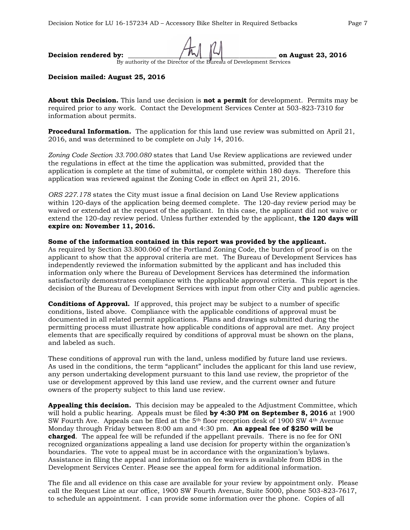# **Decision rendered by:**  $\left| \begin{array}{cc} \hline \end{array} \right|$   $\left| \begin{array}{cc} \hline \end{array} \right|$   $\left| \begin{array}{cc} \hline \end{array} \right|$   $\left| \begin{array}{cc} \hline \end{array} \right|$   $\left| \begin{array}{cc} \hline \end{array} \right|$   $\left| \begin{array}{cc} \hline \end{array} \right|$   $\left| \begin{array}{cc} \hline \end{array} \right|$   $\left| \begin{array}{cc} \hline \end{array} \right|$   $\left| \$

By authority of the Director of the Bureau of Development Services

#### **Decision mailed: August 25, 2016**

**About this Decision.** This land use decision is **not a permit** for development. Permits may be required prior to any work. Contact the Development Services Center at 503-823-7310 for information about permits.

**Procedural Information.** The application for this land use review was submitted on April 21, 2016, and was determined to be complete on July 14, 2016.

*Zoning Code Section 33.700.080* states that Land Use Review applications are reviewed under the regulations in effect at the time the application was submitted, provided that the application is complete at the time of submittal, or complete within 180 days. Therefore this application was reviewed against the Zoning Code in effect on April 21, 2016.

*ORS 227.178* states the City must issue a final decision on Land Use Review applications within 120-days of the application being deemed complete. The 120-day review period may be waived or extended at the request of the applicant. In this case, the applicant did not waive or extend the 120-day review period. Unless further extended by the applicant, **the 120 days will expire on: November 11, 2016.**

#### **Some of the information contained in this report was provided by the applicant.**

As required by Section 33.800.060 of the Portland Zoning Code, the burden of proof is on the applicant to show that the approval criteria are met. The Bureau of Development Services has independently reviewed the information submitted by the applicant and has included this information only where the Bureau of Development Services has determined the information satisfactorily demonstrates compliance with the applicable approval criteria. This report is the decision of the Bureau of Development Services with input from other City and public agencies.

**Conditions of Approval.** If approved, this project may be subject to a number of specific conditions, listed above. Compliance with the applicable conditions of approval must be documented in all related permit applications. Plans and drawings submitted during the permitting process must illustrate how applicable conditions of approval are met. Any project elements that are specifically required by conditions of approval must be shown on the plans, and labeled as such.

These conditions of approval run with the land, unless modified by future land use reviews. As used in the conditions, the term "applicant" includes the applicant for this land use review, any person undertaking development pursuant to this land use review, the proprietor of the use or development approved by this land use review, and the current owner and future owners of the property subject to this land use review.

**Appealing this decision.** This decision may be appealed to the Adjustment Committee, which will hold a public hearing. Appeals must be filed **by 4:30 PM on September 8, 2016** at 1900 SW Fourth Ave. Appeals can be filed at the 5th floor reception desk of 1900 SW 4th Avenue Monday through Friday between 8:00 am and 4:30 pm. **An appeal fee of \$250 will be charged**. The appeal fee will be refunded if the appellant prevails. There is no fee for ONI recognized organizations appealing a land use decision for property within the organization's boundaries. The vote to appeal must be in accordance with the organization's bylaws. Assistance in filing the appeal and information on fee waivers is available from BDS in the Development Services Center. Please see the appeal form for additional information.

The file and all evidence on this case are available for your review by appointment only. Please call the Request Line at our office, 1900 SW Fourth Avenue, Suite 5000, phone 503-823-7617, to schedule an appointment. I can provide some information over the phone. Copies of all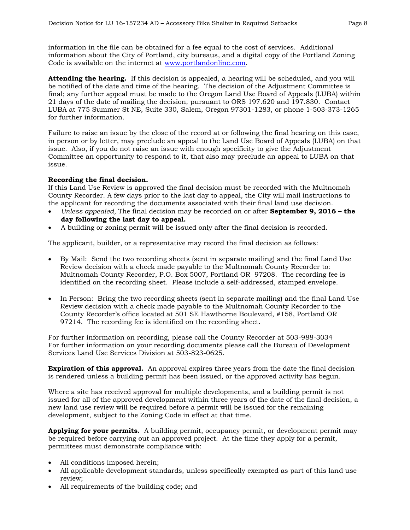information in the file can be obtained for a fee equal to the cost of services. Additional information about the City of Portland, city bureaus, and a digital copy of the Portland Zoning Code is available on the internet at [www.portlandonline.com.](http://www.ci.portland.or.us/)

**Attending the hearing.** If this decision is appealed, a hearing will be scheduled, and you will be notified of the date and time of the hearing. The decision of the Adjustment Committee is final; any further appeal must be made to the Oregon Land Use Board of Appeals (LUBA) within 21 days of the date of mailing the decision, pursuant to ORS 197.620 and 197.830. Contact LUBA at 775 Summer St NE, Suite 330, Salem, Oregon 97301-1283, or phone 1-503-373-1265 for further information.

Failure to raise an issue by the close of the record at or following the final hearing on this case, in person or by letter, may preclude an appeal to the Land Use Board of Appeals (LUBA) on that issue. Also, if you do not raise an issue with enough specificity to give the Adjustment Committee an opportunity to respond to it, that also may preclude an appeal to LUBA on that issue.

#### **Recording the final decision.**

If this Land Use Review is approved the final decision must be recorded with the Multnomah County Recorder. A few days prior to the last day to appeal, the City will mail instructions to the applicant for recording the documents associated with their final land use decision.

- *Unless appealed,* The final decision may be recorded on or after **September 9, 2016 – the day following the last day to appeal.**
- A building or zoning permit will be issued only after the final decision is recorded.

The applicant, builder, or a representative may record the final decision as follows:

- By Mail: Send the two recording sheets (sent in separate mailing) and the final Land Use Review decision with a check made payable to the Multnomah County Recorder to: Multnomah County Recorder, P.O. Box 5007, Portland OR 97208. The recording fee is identified on the recording sheet. Please include a self-addressed, stamped envelope.
- In Person: Bring the two recording sheets (sent in separate mailing) and the final Land Use Review decision with a check made payable to the Multnomah County Recorder to the County Recorder's office located at 501 SE Hawthorne Boulevard, #158, Portland OR 97214. The recording fee is identified on the recording sheet.

For further information on recording, please call the County Recorder at 503-988-3034 For further information on your recording documents please call the Bureau of Development Services Land Use Services Division at 503-823-0625.

**Expiration of this approval.** An approval expires three years from the date the final decision is rendered unless a building permit has been issued, or the approved activity has begun.

Where a site has received approval for multiple developments, and a building permit is not issued for all of the approved development within three years of the date of the final decision, a new land use review will be required before a permit will be issued for the remaining development, subject to the Zoning Code in effect at that time.

**Applying for your permits.** A building permit, occupancy permit, or development permit may be required before carrying out an approved project. At the time they apply for a permit, permittees must demonstrate compliance with:

- All conditions imposed herein;
- All applicable development standards, unless specifically exempted as part of this land use review;
- All requirements of the building code; and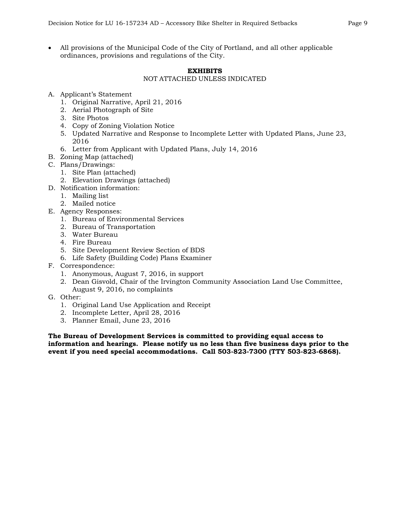All provisions of the Municipal Code of the City of Portland, and all other applicable ordinances, provisions and regulations of the City.

#### **EXHIBITS**

#### NOT ATTACHED UNLESS INDICATED

- A. Applicant's Statement
	- 1. Original Narrative, April 21, 2016
	- 2. Aerial Photograph of Site
	- 3. Site Photos
	- 4. Copy of Zoning Violation Notice
	- 5. Updated Narrative and Response to Incomplete Letter with Updated Plans, June 23, 2016
	- 6. Letter from Applicant with Updated Plans, July 14, 2016
- B. Zoning Map (attached)
- C. Plans/Drawings:
	- 1. Site Plan (attached)
	- 2. Elevation Drawings (attached)
- D. Notification information:
	- 1. Mailing list
	- 2. Mailed notice
- E. Agency Responses:
	- 1. Bureau of Environmental Services
	- 2. Bureau of Transportation
	- 3. Water Bureau
	- 4. Fire Bureau
	- 5. Site Development Review Section of BDS
	- 6. Life Safety (Building Code) Plans Examiner
- F. Correspondence:
	- 1. Anonymous, August 7, 2016, in support
	- 2. Dean Gisvold, Chair of the Irvington Community Association Land Use Committee, August 9, 2016, no complaints
- G. Other:
	- 1. Original Land Use Application and Receipt
	- 2. Incomplete Letter, April 28, 2016
	- 3. Planner Email, June 23, 2016

**The Bureau of Development Services is committed to providing equal access to information and hearings. Please notify us no less than five business days prior to the event if you need special accommodations. Call 503-823-7300 (TTY 503-823-6868).**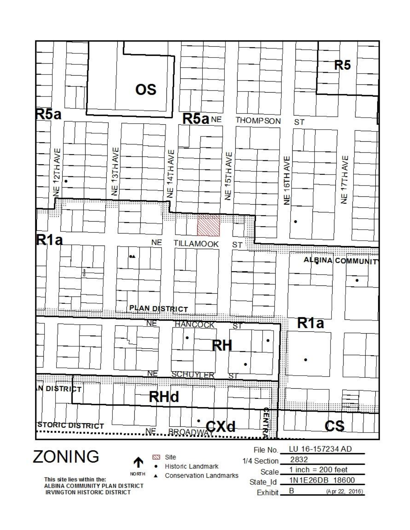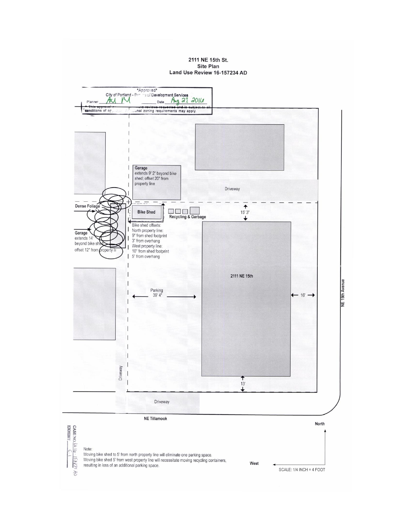#### 2111 NE 15th St. Site Plan Land Use Review 16-157234 AD